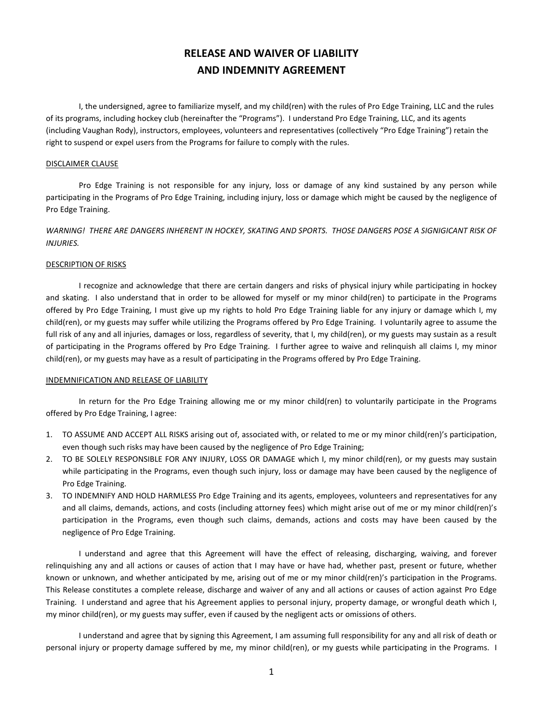# **RELEASE AND WAIVER OF LIABILITY AND INDEMNITY AGREEMENT**

I, the undersigned, agree to familiarize myself, and my child(ren) with the rules of Pro Edge Training, LLC and the rules of its programs, including hockey club (hereinafter the "Programs"). I understand Pro Edge Training, LLC, and its agents (including Vaughan Rody), instructors, employees, volunteers and representatives (collectively "Pro Edge Training") retain the right to suspend or expel users from the Programs for failure to comply with the rules.

## DISCLAIMER CLAUSE

Pro Edge Training is not responsible for any injury, loss or damage of any kind sustained by any person while participating in the Programs of Pro Edge Training, including injury, loss or damage which might be caused by the negligence of Pro Edge Training.

*WARNING! THERE ARE DANGERS INHERENT IN HOCKEY, SKATING AND SPORTS. THOSE DANGERS POSE A SIGNIGICANT RISK OF INJURIES.*

# DESCRIPTION OF RISKS

I recognize and acknowledge that there are certain dangers and risks of physical injury while participating in hockey and skating. I also understand that in order to be allowed for myself or my minor child(ren) to participate in the Programs offered by Pro Edge Training, I must give up my rights to hold Pro Edge Training liable for any injury or damage which I, my child(ren), or my guests may suffer while utilizing the Programs offered by Pro Edge Training. I voluntarily agree to assume the full risk of any and all injuries, damages or loss, regardless of severity, that I, my child(ren), or my guests may sustain as a result of participating in the Programs offered by Pro Edge Training. I further agree to waive and relinquish all claims I, my minor child(ren), or my guests may have as a result of participating in the Programs offered by Pro Edge Training.

#### INDEMNIFICATION AND RELEASE OF LIABILITY

In return for the Pro Edge Training allowing me or my minor child(ren) to voluntarily participate in the Programs offered by Pro Edge Training, I agree:

- 1. TO ASSUME AND ACCEPT ALL RISKS arising out of, associated with, or related to me or my minor child(ren)'s participation, even though such risks may have been caused by the negligence of Pro Edge Training;
- 2. TO BE SOLELY RESPONSIBLE FOR ANY INJURY, LOSS OR DAMAGE which I, my minor child(ren), or my guests may sustain while participating in the Programs, even though such injury, loss or damage may have been caused by the negligence of Pro Edge Training.
- 3. TO INDEMNIFY AND HOLD HARMLESS Pro Edge Training and its agents, employees, volunteers and representatives for any and all claims, demands, actions, and costs (including attorney fees) which might arise out of me or my minor child(ren)'s participation in the Programs, even though such claims, demands, actions and costs may have been caused by the negligence of Pro Edge Training.

I understand and agree that this Agreement will have the effect of releasing, discharging, waiving, and forever relinquishing any and all actions or causes of action that I may have or have had, whether past, present or future, whether known or unknown, and whether anticipated by me, arising out of me or my minor child(ren)'s participation in the Programs. This Release constitutes a complete release, discharge and waiver of any and all actions or causes of action against Pro Edge Training. I understand and agree that his Agreement applies to personal injury, property damage, or wrongful death which I, my minor child(ren), or my guests may suffer, even if caused by the negligent acts or omissions of others.

I understand and agree that by signing this Agreement, I am assuming full responsibility for any and all risk of death or personal injury or property damage suffered by me, my minor child(ren), or my guests while participating in the Programs. I